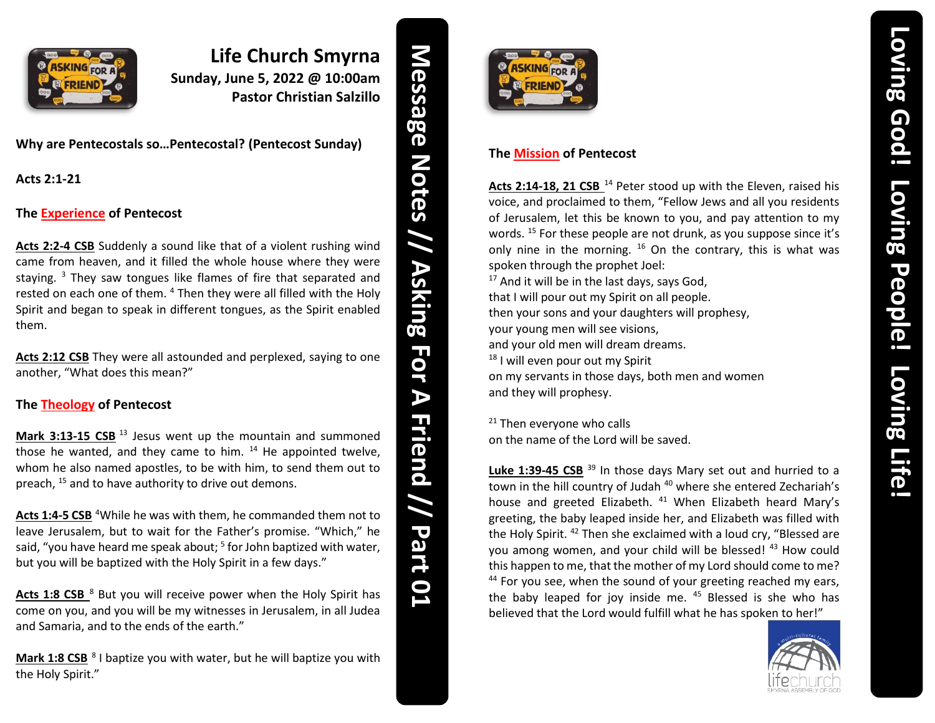

## **Life Church Smyrna Sunday, June 5, 2022 @ 10:00am Pastor Christian Salzillo**

**Why are Pentecostals so…Pentecostal? (Pentecost Sunday)**

**Acts 2:1-21**

## **The Experience of Pentecost**

**Acts 2:2-4 CSB** Suddenly a sound like that of a violent rushing wind came from heaven, and it filled the whole house where they were staying.<sup>3</sup> They saw tongues like flames of fire that separated and rested on each one of them. <sup>4</sup> Then they were all filled with the Holy Spirit and began to speak in different tongues, as the Spirit enabled them.

Acts 2:12 CSB They were all astounded and perplexed, saying to one another, "What does this mean?"

## **The Theology of Pentecost**

**Mark 3:13-15 CSB**<sup>13</sup> Jesus went up the mountain and summoned those he wanted, and they came to him.  $14$  He appointed twelve, whom he also named apostles, to be with him, to send them out to preach, <sup>15</sup> and to have authority to drive out demons.

Acts 1:4-5 CSB<sup>4</sup> While he was with them, he commanded them not to leave Jerusalem, but to wait for the Father's promise. "Which," he said, "you have heard me speak about; <sup>5</sup> for John baptized with water, but you will be baptized with the Holy Spirit in a few days."

Acts 1:8 CSB <sup>8</sup> But you will receive power when the Holy Spirit has come on you, and you will be my witnesses in Jerusalem, in all Judea and Samaria, and to the ends of the earth."

Mark 1:8 CSB<sup>8</sup> I baptize you with water, but he will baptize you with the Holy Spirit."

**Message Notes // Asking For // Asking For A Friend**  $\blacktriangleright$ **Friend // Part 1**



## **The Mission of Pentecost**

Acts 2:14-18, 21 CSB<sup>14</sup> Peter stood up with the Eleven, raised his voice, and proclaimed to them, "Fellow Jews and all you residents of Jerusalem, let this be known to you, and pay attention to my words. <sup>15</sup> For these people are not drunk, as you suppose since it's only nine in the morning. <sup>16</sup> On the contrary, this is what was spoken through the prophet Joel:  $17$  And it will be in the last days, says God,

that I will pour out my Spirit on all people. then your sons and your daughters will prophesy, your young men will see visions, and your old men will dream dreams. <sup>18</sup> I will even pour out my Spirit on my servants in those days, both men and women and they will prophesy.

<sup>21</sup> Then everyone who calls on the name of the Lord will be saved.

Luke 1:39-45 CSB<sup>39</sup> In those days Mary set out and hurried to a town in the hill country of Judah<sup>40</sup> where she entered Zechariah's house and greeted Elizabeth. <sup>41</sup> When Elizabeth heard Mary's greeting, the baby leaped inside her, and Elizabeth was filled with the Holy Spirit. <sup>42</sup> Then she exclaimed with a loud cry, "Blessed are you among women, and your child will be blessed! 43 How could this happen to me, that the mother of my Lord should come to me? <sup>44</sup> For you see, when the sound of your greeting reached my ears, the baby leaped for joy inside me. <sup>45</sup> Blessed is she who has believed that the Lord would fulfill what he has spoken to her!"

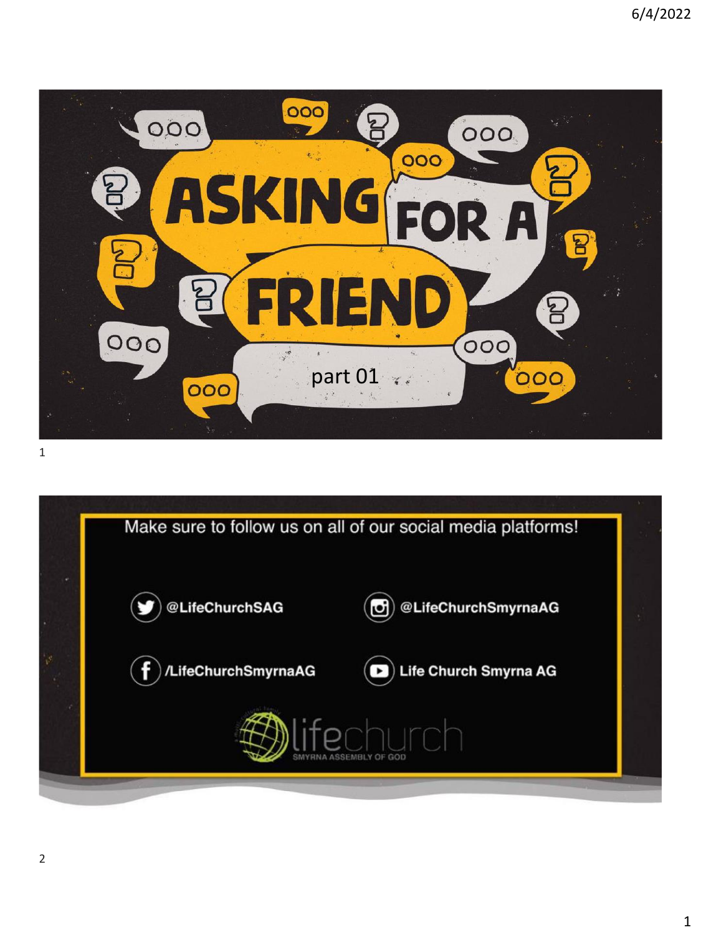

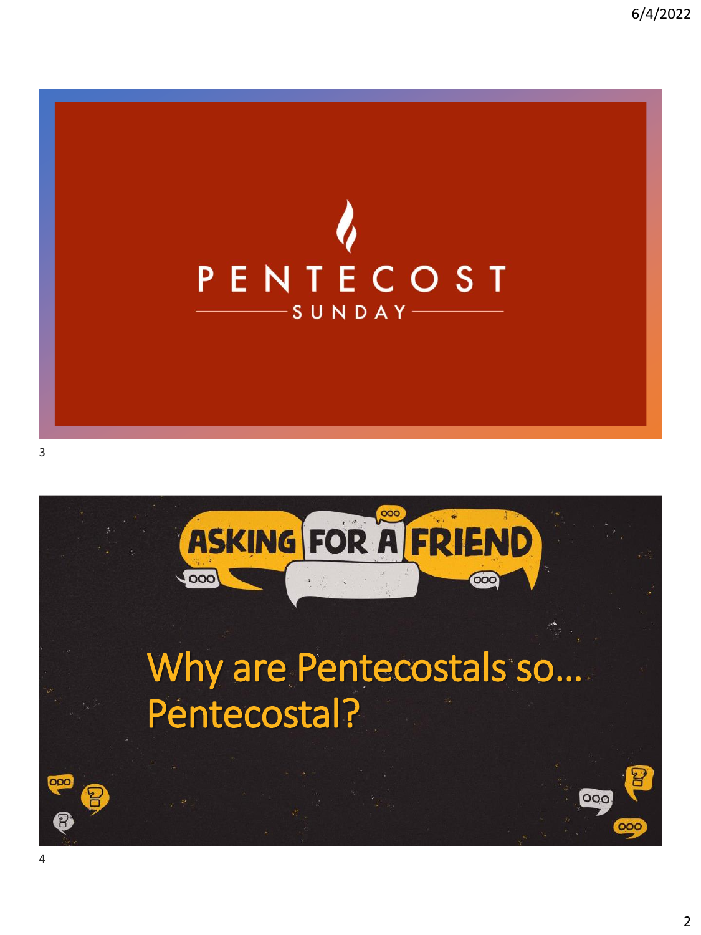

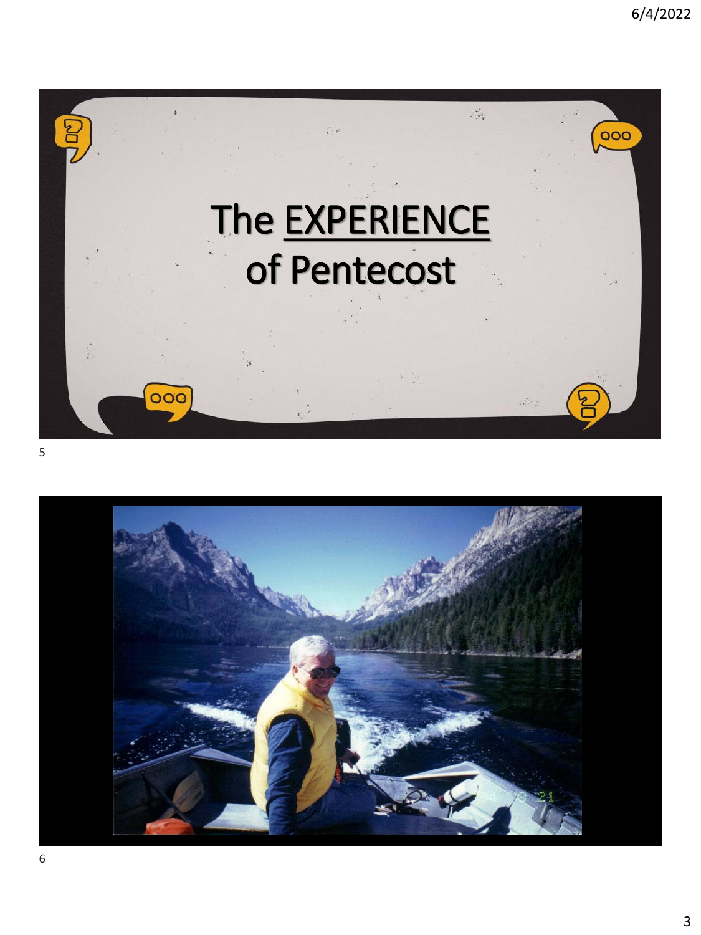

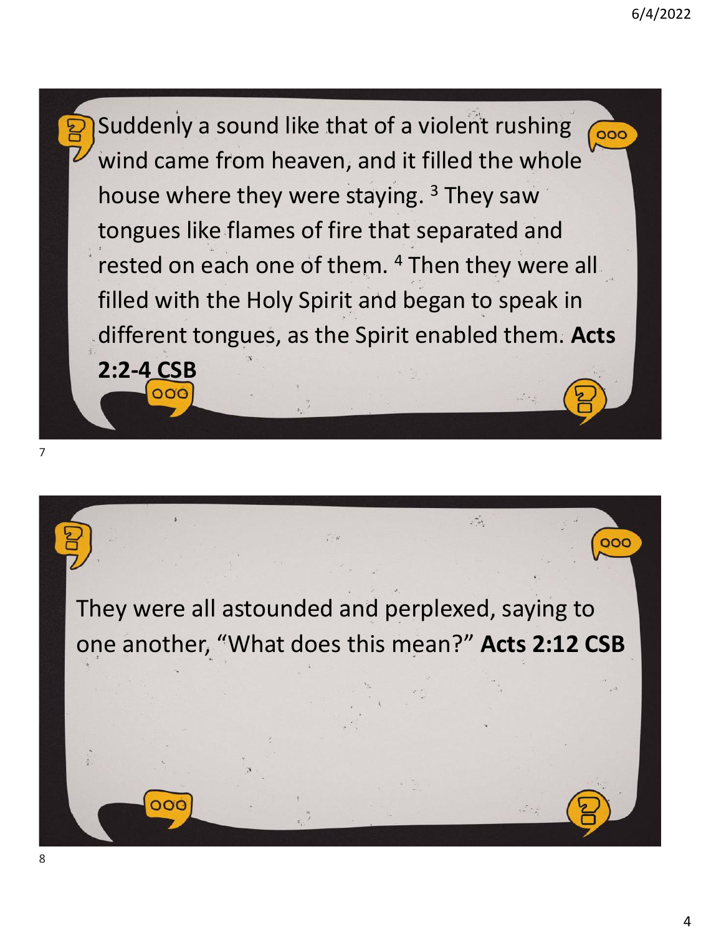Suddenly a sound like that of a violent rushing 000 wind came from heaven, and it filled the whole house where they were staying.<sup>3</sup> They saw tongues like flames of fire that separated and rested on each one of them. <sup>4</sup> Then they were all filled with the Holy Spirit and began to speak in different tongues, as the Spirit enabled them. **Acts 2:2-4 CSB**

 $000$ 

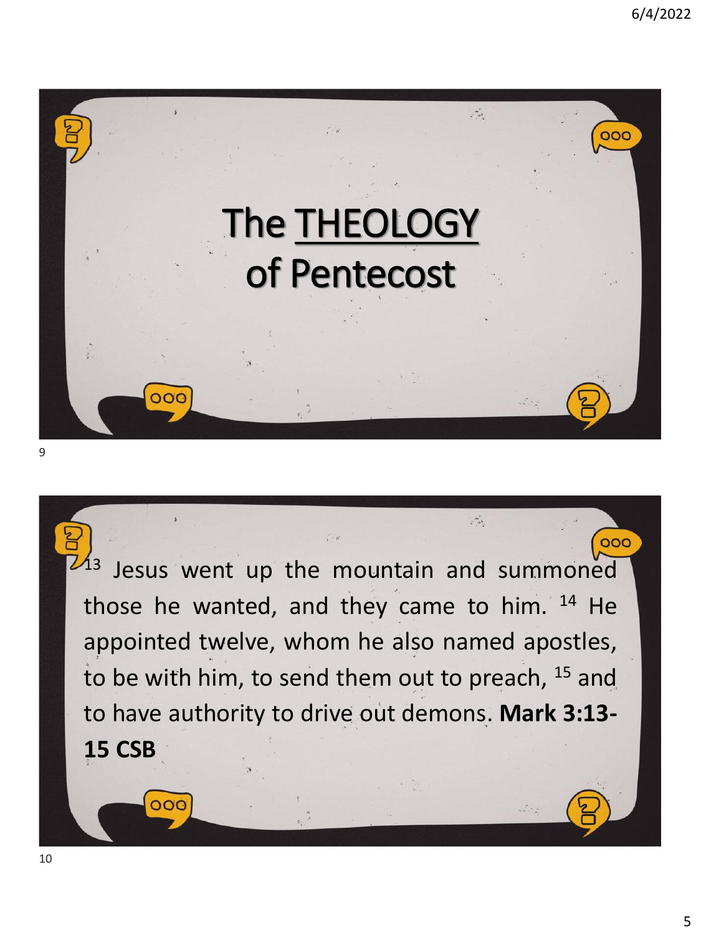





 $\overline{OC}$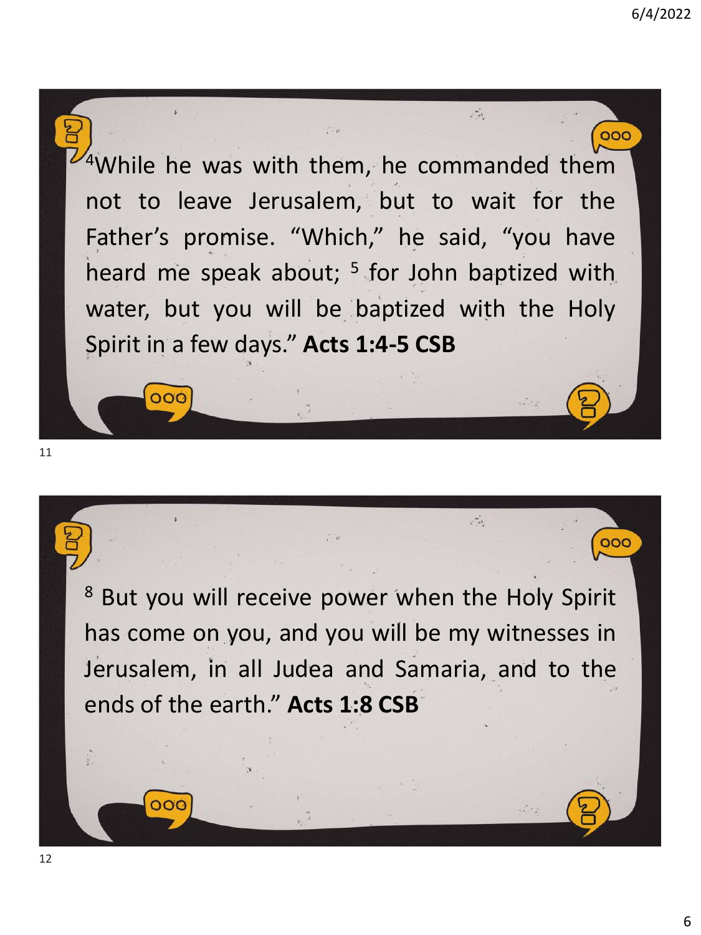

<sup>8</sup> But you will receive power when the Holy Spirit has come on you, and you will be my witnesses in Jerusalem, in all Judea and Samaria, and to the ends of the earth." **Acts 1:8 CSB**

ooc

000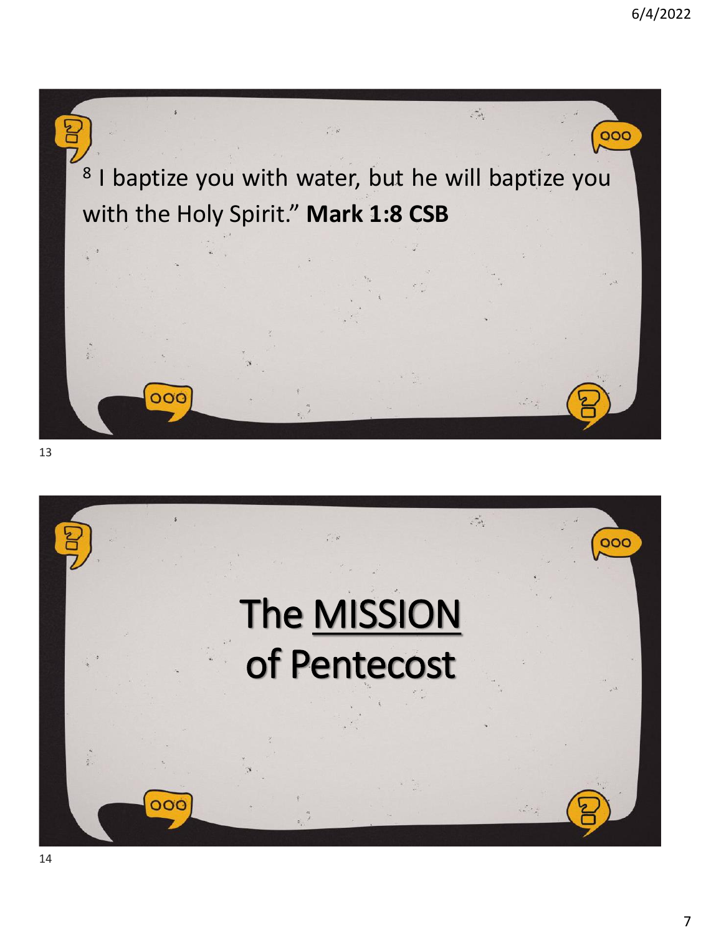

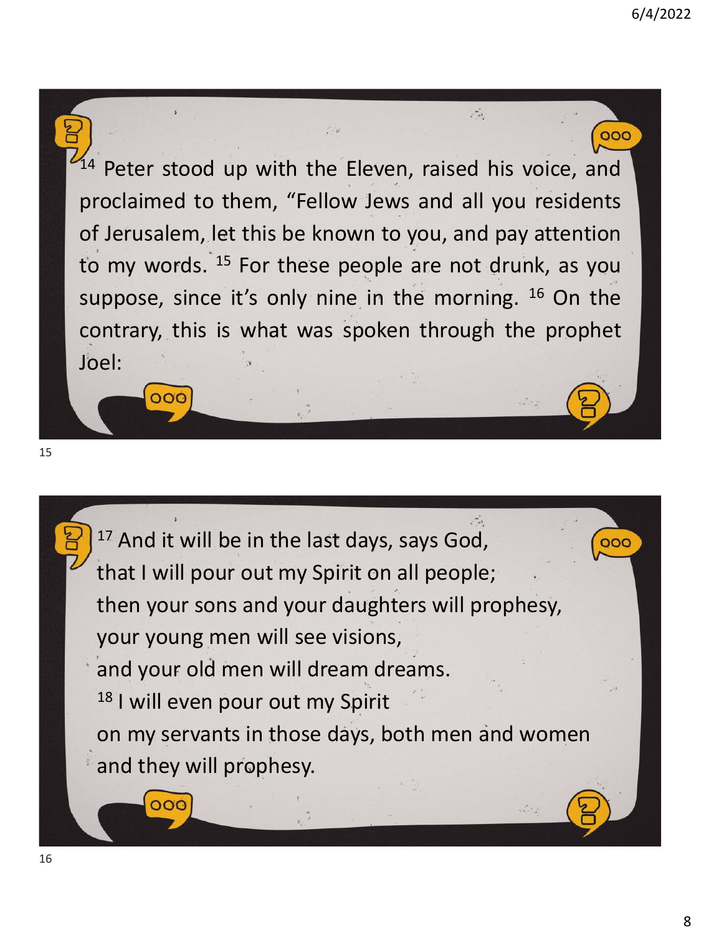000  $14$  Peter stood up with the Eleven, raised his voice, and proclaimed to them, "Fellow Jews and all you residents of Jerusalem, let this be known to you, and pay attention to my words. <sup>15</sup> For these people are not drunk, as you suppose, since it's only nine in the morning. <sup>16</sup> On the contrary, this is what was spoken through the prophet Joel:

 $\mathcal{L} \rightarrow 0$ 

15

OOC

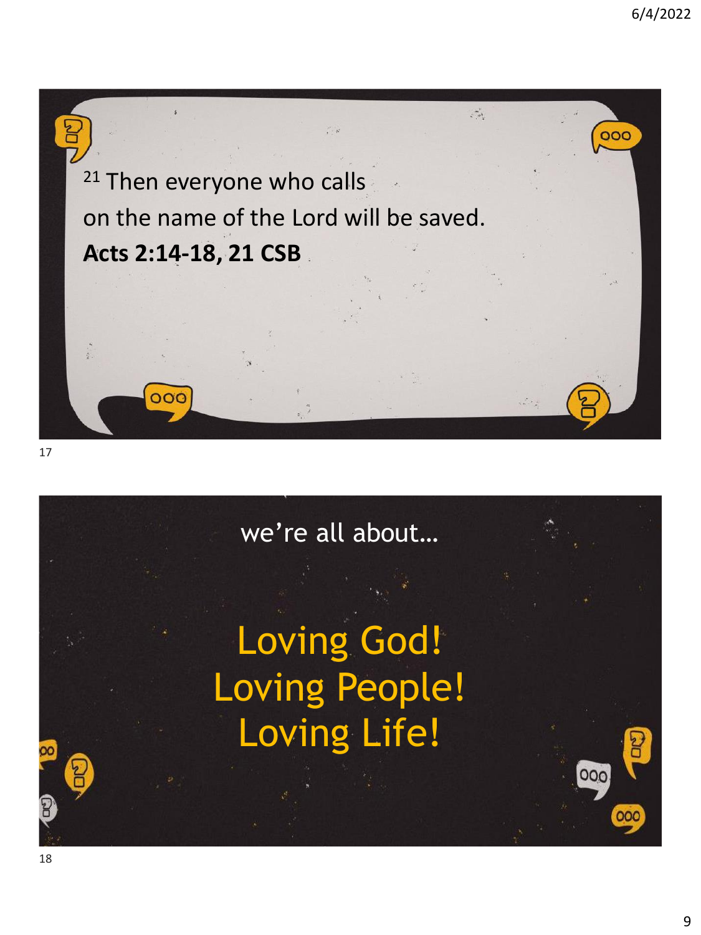